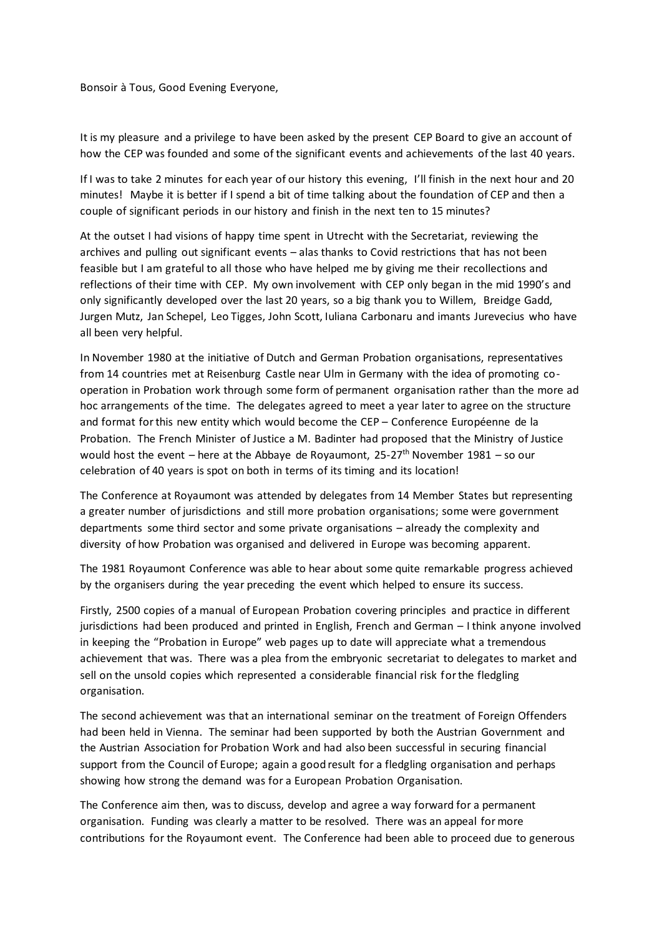## Bonsoir à Tous, Good Evening Everyone,

It is my pleasure and a privilege to have been asked by the present CEP Board to give an account of how the CEP was founded and some of the significant events and achievements of the last 40 years.

If I was to take 2 minutes for each year of our history this evening, I'll finish in the next hour and 20 minutes! Maybe it is better if I spend a bit of time talking about the foundation of CEP and then a couple of significant periods in our history and finish in the next ten to 15 minutes?

At the outset I had visions of happy time spent in Utrecht with the Secretariat, reviewing the archives and pulling out significant events – alas thanks to Covid restrictions that has not been feasible but I am grateful to all those who have helped me by giving me their recollections and reflections of their time with CEP. My own involvement with CEP only began in the mid 1990's and only significantly developed over the last 20 years, so a big thank you to Willem, Breidge Gadd, Jurgen Mutz, Jan Schepel, Leo Tigges, John Scott, Iuliana Carbonaru and imants Jurevecius who have all been very helpful.

In November 1980 at the initiative of Dutch and German Probation organisations, representatives from 14 countries met at Reisenburg Castle near Ulm in Germany with the idea of promoting cooperation in Probation work through some form of permanent organisation rather than the more ad hoc arrangements of the time. The delegates agreed to meet a year later to agree on the structure and format for this new entity which would become the CEP – Conference Européenne de la Probation. The French Minister of Justice a M. Badinter had proposed that the Ministry of Justice would host the event – here at the Abbaye de Royaumont,  $25-27$ <sup>th</sup> November 1981 – so our celebration of 40 years is spot on both in terms of its timing and its location!

The Conference at Royaumont was attended by delegates from 14 Member States but representing a greater number of jurisdictions and still more probation organisations; some were government departments some third sector and some private organisations – already the complexity and diversity of how Probation was organised and delivered in Europe was becoming apparent.

The 1981 Royaumont Conference was able to hear about some quite remarkable progress achieved by the organisers during the year preceding the event which helped to ensure its success.

Firstly, 2500 copies of a manual of European Probation covering principles and practice in different jurisdictions had been produced and printed in English, French and German – I think anyone involved in keeping the "Probation in Europe" web pages up to date will appreciate what a tremendous achievement that was. There was a plea from the embryonic secretariat to delegates to market and sell on the unsold copies which represented a considerable financial risk for the fledgling organisation.

The second achievement was that an international seminar on the treatment of Foreign Offenders had been held in Vienna. The seminar had been supported by both the Austrian Government and the Austrian Association for Probation Work and had also been successful in securing financial support from the Council of Europe; again a good result for a fledgling organisation and perhaps showing how strong the demand was for a European Probation Organisation.

The Conference aim then, was to discuss, develop and agree a way forward for a permanent organisation. Funding was clearly a matter to be resolved. There was an appeal for more contributions for the Royaumont event. The Conference had been able to proceed due to generous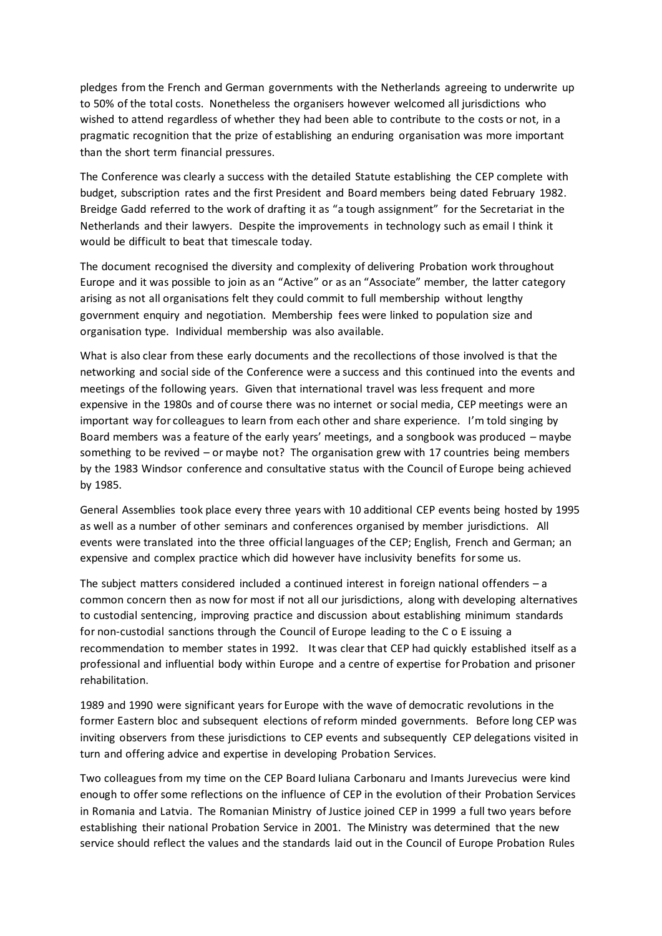pledges from the French and German governments with the Netherlands agreeing to underwrite up to 50% of the total costs. Nonetheless the organisers however welcomed all jurisdictions who wished to attend regardless of whether they had been able to contribute to the costs or not, in a pragmatic recognition that the prize of establishing an enduring organisation was more important than the short term financial pressures.

The Conference was clearly a success with the detailed Statute establishing the CEP complete with budget, subscription rates and the first President and Board members being dated February 1982. Breidge Gadd referred to the work of drafting it as "a tough assignment" for the Secretariat in the Netherlands and their lawyers. Despite the improvements in technology such as email I think it would be difficult to beat that timescale today.

The document recognised the diversity and complexity of delivering Probation work throughout Europe and it was possible to join as an "Active" or as an "Associate" member, the latter category arising as not all organisations felt they could commit to full membership without lengthy government enquiry and negotiation. Membership fees were linked to population size and organisation type. Individual membership was also available.

What is also clear from these early documents and the recollections of those involved is that the networking and social side of the Conference were a success and this continued into the events and meetings of the following years. Given that international travel was less frequent and more expensive in the 1980s and of course there was no internet or social media, CEP meetings were an important way for colleagues to learn from each other and share experience. I'm told singing by Board members was a feature of the early years' meetings, and a songbook was produced – maybe something to be revived – or maybe not? The organisation grew with 17 countries being members by the 1983 Windsor conference and consultative status with the Council of Europe being achieved by 1985.

General Assemblies took place every three years with 10 additional CEP events being hosted by 1995 as well as a number of other seminars and conferences organised by member jurisdictions. All events were translated into the three official languages of the CEP; English, French and German; an expensive and complex practice which did however have inclusivity benefits for some us.

The subject matters considered included a continued interest in foreign national offenders – a common concern then as now for most if not all our jurisdictions, along with developing alternatives to custodial sentencing, improving practice and discussion about establishing minimum standards for non-custodial sanctions through the Council of Europe leading to the C o E issuing a recommendation to member states in 1992. It was clear that CEP had quickly established itself as a professional and influential body within Europe and a centre of expertise for Probation and prisoner rehabilitation.

1989 and 1990 were significant years for Europe with the wave of democratic revolutions in the former Eastern bloc and subsequent elections of reform minded governments. Before long CEP was inviting observers from these jurisdictions to CEP events and subsequently CEP delegations visited in turn and offering advice and expertise in developing Probation Services.

Two colleagues from my time on the CEP Board Iuliana Carbonaru and Imants Jurevecius were kind enough to offer some reflections on the influence of CEP in the evolution of their Probation Services in Romania and Latvia. The Romanian Ministry of Justice joined CEP in 1999 a full two years before establishing their national Probation Service in 2001. The Ministry was determined that the new service should reflect the values and the standards laid out in the Council of Europe Probation Rules